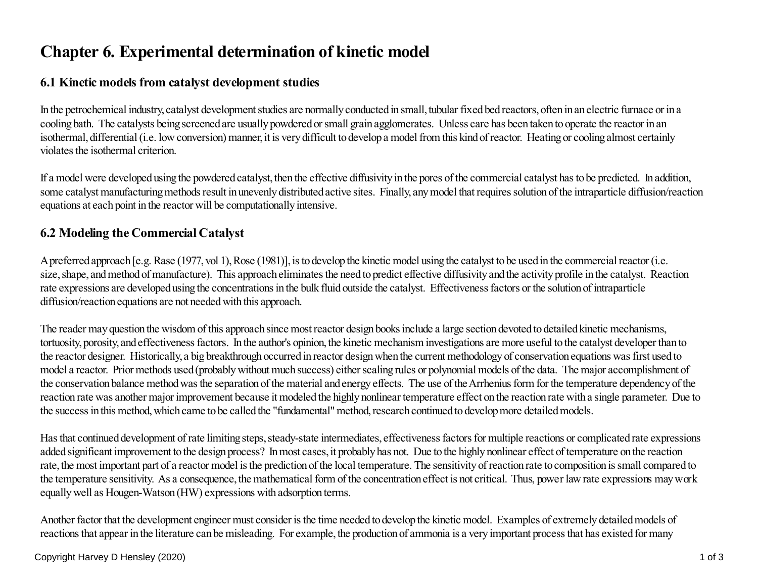# **Chapter 6. Experimental determination of kinetic model**

## **6.1 Kinetic models from catalyst development studies**

In the petrochemical industry, catalyst development studies are normally conducted in small, tubular fixed bed reactors, often in an electric furnace or in acooling bath. The catalysts being screened are usually powdered or small grain agglomerates. Unless care has been taken to operate the reactor in an isothermal, differential (i.e. low conversion) manner, it is very difficult to develop a model from this kind of reactor. Heating or cooling almost certainlyviolates the isothermal criterion.

If a model were developed using the powdered catalyst, then the effective diffusivity in the pores of the commercial catalyst has to be predicted. In addition, some catalyst manufacturing methods result in unevenly distributed active sites. Finally, any model that requires solution of the intraparticle diffusion/reactionequations at each point in the reactor will be computationally intensive.

## **6.2 Modeling the Commercial Catalyst**

A preferred approach [e.g. Rase (1977, vol 1), Rose (1981)], is to develop the kinetic model using the catalyst to be used in the commercial reactor (i.e. size, shape, and method of manufacture). This approach eliminates the need to predict effective diffusivity and the activity profile in the catalyst. Reactionrate expressions are developed using the concentrations in the bulk fluid outside the catalyst. Effectiveness factors or the solution of intraparticlediffusion/reaction equations are not needed with this approach.

The reader may question the wisdom of this approach since most reactor design books include a large section devoted to detailed kinetic mechanisms, tortuosity, porosity, and effectiveness factors. In the author's opinion, the kinetic mechanism investigations are more useful to the catalyst developer than to the reactor designer. Historically, a big breakthrough occurred in reactor design when the current methodology of conservation equations was first used to model a reactor. Prior methods used (probably without much success) either scaling rules or polynomial models of the data. The major accomplishment of the conservation balance method was the separation of the material and energy effects. The use of the Arrhenius form for the temperature dependency of the reaction rate was another major improvement because it modeled the highly nonlinear temperature effect on the reaction rate with a single parameter. Due tothe success in this method, which came to be called the "fundamental" method, research continued to develop more detailed models.

Has that continued development of rate limiting steps, steady-state intermediates, effectiveness factors for multiple reactions or complicated rate expressionsadded significant improvement to the design process? In most cases, it probably has not. Due to the highly nonlinear effect of temperature on the reaction rate, the most important part of a reactor model is the prediction of the local temperature. The sensitivity of reaction rate to composition is small compared to the temperature sensitivity. As a consequence, the mathematical form of the concentration effect is not critical. Thus, power law rate expressions may workequally well as Hougen-Watson (HW) expressions with adsorption terms.

Another factor that the development engineer must consider is the time needed to develop the kinetic model. Examples of extremely detailed models ofreactions that appear in the literature can be misleading. For example, the production of ammonia is a very important process that has existed for many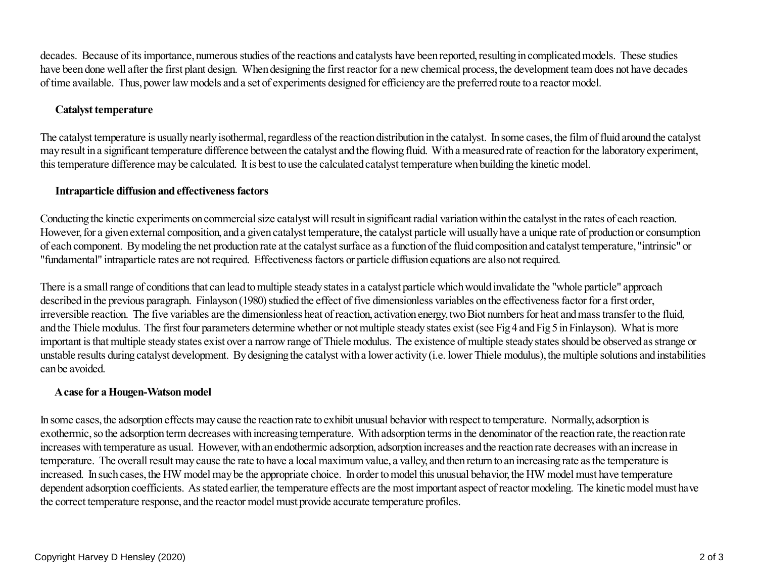decades. Because of its importance, numerous studies of the reactions and catalysts have been reported, resulting in complicated models. These studies have been done well after the first plant design. When designing the first reactor for a new chemical process, the development team does not have decadesof time available. Thus, power law models and a set of experiments designed for efficiency are the preferred route to a reactor model.

#### **Catalyst temperature**

The catalyst temperature is usually nearly isothermal, regardless of the reaction distribution in the catalyst. In some cases, the film of fluid around the catalyst may result in a significant temperature difference between the catalyst and the flowing fluid. With a measured rate of reaction for the laboratory experiment,this temperature difference may be calculated. It is best to use the calculated catalyst temperature when building the kinetic model.

### **Intraparticle diffusion and effectiveness factors**

Conducting the kinetic experiments on commercial size catalyst will result in significant radial variation within the catalyst in the rates of each reaction. However, for a given external composition, and a given catalyst temperature, the catalyst particle will usually have a unique rate of production or consumptionof each component. By modeling the net production rate at the catalyst surface as a function of the fluid composition and catalyst temperature, "intrinsic" or"fundamental" intraparticle rates are not required. Effectiveness factors or particle diffusion equations are also not required.

There is a small range of conditions that can lead to multiple steady states in a catalyst particle which would invalidate the "whole particle" approachdescribed in the previous paragraph. Finlayson (1980) studied the effect of five dimensionless variables on the effectiveness factor for a first order, irreversible reaction. The five variables are the dimensionless heat of reaction, activation energy, two Biot numbers for heat and mass transfer to the fluid,and the Thiele modulus. The first four parameters determine whether or not multiple steady states exist (see Fig 4 and Fig 5 in Finlayson). What is more important is that multiple steady states exist over a narrow range of Thiele modulus. The existence of multiple steady states should be observed as strange or unstable results during catalyst development. By designing the catalyst with a lower activity (i.e. lower Thiele modulus), the multiple solutions and instabilitiescan be avoided.

### **A case for a Hougen-Watson model**

In some cases, the adsorption effects may cause the reaction rate to exhibit unusual behavior with respect to temperature. Normally, adsorption is exothermic, so the adsorption term decreases with increasing temperature. With adsorption terms in the denominator of the reaction rate, the reaction rateincreases with temperature as usual. However, with an endothermic adsorption, adsorption increases and the reaction rate decreases with an increase intemperature. The overall result may cause the rate to have a local maximum value, a valley, and then return to an increasing rate as the temperature is increased. In such cases, the HW model may be the appropriate choice. In order to model this unusual behavior, the HW model must have temperature dependent adsorption coefficients. As stated earlier, the temperature effects are the most important aspect of reactor modeling. The kinetic model must havethe correct temperature response, and the reactor model must provide accurate temperature profiles.